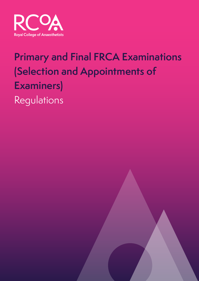

# **Primary and Final FRCA Examinations (Selection and Appointments of Examiners)**  Regulations

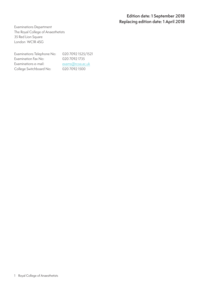#### **Edition date: 1 September 2018 Replacing edition date: 1 April 2018**

Examinations Department The Royal College of Anaesthetists 35 Red Lion Square London WC1R 4SG

Examinations Telephone No: 020 7092 1525/1521 Examination Fax No: 020 7092 1735 Examinations e-mail: exams@rcoa.ac.uk College Switchboard No: 020 7092 1500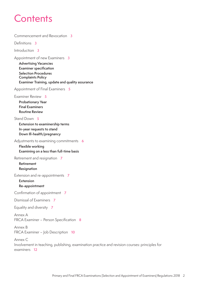## **Contents**

[Commencement and Revocation](#page-3-0) **3**

[Definitions](#page-3-0) **3**

[Introduction](#page-3-0) **3**

[Appointment of new Examiners](#page-3-0) **3**

**[Advertising Vacancies](#page-3-0)  [Examiner specification](#page-3-0)  [Selection Procedures](#page-3-0)  [Complaints Policy](#page-3-0) [Examiner Training, update and quality assurance](#page-3-0)**

[Appointment of Final Examiners](#page-5-0) **5**

[Examiner Review](#page-5-0) **5**

**[Probationary Year](#page-5-0)  [Final Examiners](#page-5-0) [Routine Review](#page-5-0)**

[Stand Down](#page-5-0) **5**

**[Extension to examinership terms](#page-5-0)  [In-year requests to stand](#page-5-0)  [Down Ill-health/pregnancy](#page-5-0)**

Adjustments to examining commitments **[6](#page-6-0)**

**Flexible working Examining on a less than full-time basis**

[Retirement and resignation](#page-6-0) **7**

**[Retirement](#page-6-0)  [Resignation](#page-6-0)**

[Extension and re-appointments](#page-6-0) **7**

**Extension Re-appointment**

[Confirmation of appointment](#page-6-0) **7**

[Dismissal of Examiners](#page-6-0) **7**

[Equality and diversity](#page-7-0) **7**

[Annex A](#page-8-0) [FRCA Examiner – Person Specification](#page-8-0) **8**

[Annex B](#page-10-0) [FRCA Examiner – Job Description](#page-10-0) **10**

[Annex C](#page-12-0) [Involvement in teaching, publishing, examination practice and revision courses: principles for](#page-12-0)  [examiners](#page-12-0) **12**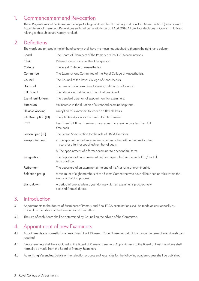## <span id="page-3-0"></span>1. Commencement and Revocation

These Regulations shall be known as the Royal College of Anaesthetists' Primary and Final FRCA Examinations (Selection and Appointment of Examiners) Regulations and shall come into force on 1 April 2017. All previous decisions of Council ETE Board relating to this subject are hereby revoked.

## 2. Definitions

The words and phrases in the left hand column shall have the meanings attached to them in the right hand column:

| Board                | The Board of Examiners of the Primary or Final FRCA examinations.                                                          |
|----------------------|----------------------------------------------------------------------------------------------------------------------------|
| Chair                | Relevant exam or committee Chairperson                                                                                     |
| College              | The Royal College of Anaesthetists.                                                                                        |
| Committee            | The Examinations Committee of the Royal College of Anaesthetists.                                                          |
| Council              | The Council of the Royal College of Anaesthetists.                                                                         |
| Dismissal            | The removal of an examiner following a decision of Council.                                                                |
| <b>ETE Board</b>     | The Education, Training and Examinations Board.                                                                            |
| Examinership term    | The standard duration of appointment for examiners.                                                                        |
| Extension            | An increase in the duration of a standard examinership term.                                                               |
| Flexible working     | An option for examiners to work on a flexible basis.                                                                       |
| Job Description (JD) | The Job Description for the role of FRCA Examiner.                                                                         |
| <b>LTFT</b>          | Less Than Full Time. Examiners may request to examine on a less than full<br>time basis.                                   |
| Person Spec (PS)     | The Person Specification for the role of FRCA Examiner.                                                                    |
| Re-appointment       | a The appointment of an examiner who has retired within the previous two<br>years for a further specified number of years. |
|                      | b The appointment of a former examiner to a second full term.                                                              |
| Resignation          | The departure of an examiner at his/her request before the end of his/her full<br>term of office.                          |
| Retirement           | The departure of an examiner at the end of his/her term of examinership.                                                   |
| Selection group      | A minimum of eight members of the Exams Committee who have all held senior roles within the<br>exams or training process.  |
| Stand down           | A period of one academic year during which an examiner is prospectively<br>excused from all duties.                        |

#### 3. Introduction

- 3.1 Appointments to the Boards of Examiners of Primary and Final FRCA examinations shall be made at least annually by Council on the advice of the Examinations Committee.
- 3.2 The size of each Board shall be determined by Council on the advice of the Committee.

## 4. Appointment of new Examiners

- 4.1 Appointments are normally for an examinership of 10 years. Council reserve to right to change the term of examinership as required
- 4.2 New examiners shall be appointed to the Board of Primary Examiners. Appointments to the Board of Final Examiners shall normally be made from the Board of Primary Examiners.
- 4.3 Advertising Vacancies: Details of the selection process and vacancies for the following academic year shall be published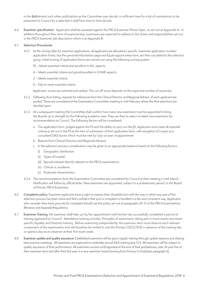in the *Bulletin* and such other publications as the Committee may decide, in sufficient time for a list of nominations to be presented to Council by a date that it shall from time to time decide.

4.4 Examiner specification: Applicants shall be assessed against the FRCA Examiner Person Spec. as set out at Appendix A. In addition throughout their term of examinership, examiners are expected to adhere to the duties and responsibilities set out in the FRCA Examiner Job description which is at Appendix B.

#### 4.5 Selection Procedures:

- 4.5.1 At the closing date for examiner applications, all applicants are allocated a specific 'examiner application number', application forms, less the personal information page and Equal opportunities form, are then circulated to the selection group. Initial scoring of application forms are carried out using the following scoring system:
	- 10 Meets essential criteria and excellent in ALL aspects.
	- 6 Meets essential criteria and good/excellent in SOME aspects.
	- 2 Meets essential criteria.
	- 0 Fails to meet essential criteria.

Applicants' scores are summed and ranked. The cut-off score depends on the expected number of vacancies.

- 4.5.2 Following short-listing, requests for references from the Clinical Director and Regional Advisor of each applicant are posted. These are considered at the Examination Committee meeting in mid-February where the final selections are decided upon.
- 4.5.3 At a subsequent meeting the Committee shall confirm how many new examiners must be appointed to bring the Boards up to strength for the following academic year. They are then to select on *merit* new examiners for recommendation to Council. The following factors will be considered:
	- a. The application form, judged against the PS and the ability to carry out the JD. Applicants must meet all essential criteria as set out in the PS at the time of submission of their application form, with exception of 5 years as a consultant/SAS doctor which must be met by 1 July on year of appointment.
	- b. Reports from Clinical Directors and Regional Advisors.
	- c. In the selection process consideration may be given to an appropriate balance based on the following factors:
		- (i) Geographic distribution
		- (ii) Types of hospital
		- (iii) Special interests directly relevant to the FRCA examinations.
		- (iv) Clinical vs. academic
		- (v) Protected characteristics
- 4.5.4 The recommendations from the Examination Committee are considered by Council at their meeting in mid-March. Notification will follow by official letter. New examiners are appointed, subject to a probationary period, to the Board of Primary FRCA Examiners.
- 4.6 Complaints policy: Examiner applicants have a right to express their dissatisfaction with the way in which any part of the selection process has been done and feel confident that such a complaint is handled in a fair and consistent way. Applicants who consider they have grounds for complaint should use the policy set out at paragraphs 20-31 of the FRCA Examinations (Reviews and Appeals) Regulations.
- 4.7 Examiner Training: No examiner shall take up his/her appointment until he/she has successfully completed a period of training approved by Council. Mandatory training includes: Principles of assessment, taking part in mock exams and exam specific Equality and Diversity training. Before examining independently, the examiner elect must observe each relevant component of the examination and will therefore be invited to visit the Primary OSCE/SOE in advance of the training day or spend a day as an observer at their first exam week.
- 4.8 Examiner update and quality assurance: Established examiners will be given regular training through update sessions and sharing best practice meetings. All examiners are expected to undertake annual E&D training (see 12.1). All examiners will be subject to quality assurance of their performance. All examiners receive a full appraisal at the end of their probationary year. At year five of their examiner term and after their first year in a new examiner board (moving from Primary to Final) (see paragraph 6).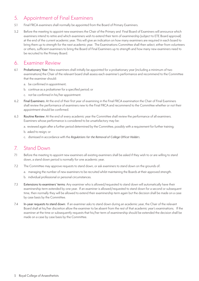## <span id="page-5-0"></span>5. Appointment of Final Examiners

- 5.1 Final FRCA examiners shall normally be appointed from the Board of Primary Examiners.
- 5.2 Before the meeting to appoint new examiners the Chair of the Primary and Final Board of Examiners will announce which examiners intend to retire and which examiners wish to extend their term of examinership (subject to ETE Board approval) at the end of the current academic year. This will give an indication on how many examiners are required in each board to bring them up to strength for the next academic year. The Examinations Committee shall then select, either from volunteers or others, sufficient examiners to bring the Board of Final Examiners up to strength and how many new examiners need to be recruited to the Primary Board.

#### 6. Examiner Review

- 6.1 Probationary Year: New examiners shall initially be appointed for a probationary year (including a minimum of two examinations) the Chair of the relevant board shall assess each examiner's performance and recommend to the Committee that the examiner should:
	- a. be confirmed in appointment;
	- b. continue as a probationer for a specified period; or
	- c. not be confirmed in his/her appointment.
- 6.2 Final Examiners: At the end of their first year of examining in the Final FRCA examination the Chair of Final Examiners shall review the performance of examiners new to the Final FRCA and recommend to the Committee whether or not their appointment should be confirmed.
- 6.3 Routine Review: At the end of every academic year the Committee shall review the performance of all examiners. Examiners whose performance is considered to be unsatisfactory may be:
	- a. reviewed again after a further period determined by the Committee, possibly with a requirement for further training;
	- b. asked to resign; or
	- c. dismissed in accordance with the *Regulations for the Removal of College Officer Holders*.

## 7. Stand Down

- 7.1 Before the meeting to appoint new examiners all existing examiners shall be asked if they wish to or are willing to stand down, a stand down period is normally for one academic year.
- 7.2 The Committee may approve requests to stand down, or ask examiners to stand down on the grounds of:
	- a. managing the number of new examiners to be recruited whilst maintaining the Boards at their approved strength.
	- b. individual professional or personal circumstances.
- 7.3 Extensions to examiners' terms: Any examiner who is allowed/requested to stand down will automatically have their examinership term extended by one year. If an examiner is allowed/requested to stand down for a second or subsequent time, then normally they will be allowed to extend their examinership term again but the decision shall be made on a case by case basis by the Committee.
- 7.4 In-year requests to stand down: If an examiner asks to stand down during an academic year, the Chair of the relevant Board shall at his/her discretion allow the examiner to be absent from the rest of that academic year's examinations. If the examiner at the time or subsequently requests that his/her term of examinership should be extended the decision shall be made on a case by case basis by the Committee.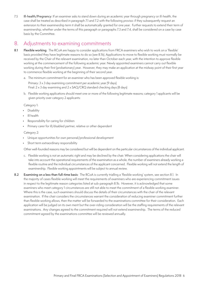<span id="page-6-0"></span>7.5 Ill-health/Pregnancy: If an examiner asks to stand down during an academic year through pregnancy or ill-health, the case shall be treated as described in paragraph 7.1 and 7.2 with the following proviso: if they subsequently request an extension to their examinership term it shall be automatically granted for one year. Further requests to extend their term of examinership, whether under the terms of this paragraph or paragraphs 7.3 and 7.4, shall be considered on a case by case basis by the Committee.

#### 8. Adjustments to examining commitments

- **8.1 Flexible working**: The RCoA are happy to consider applications from FRCA examiners who wish to work on a 'flexible' basis provided they have legitimate reasons to do so (see 8.1b). Applications to move to flexible working must normally be received by the Chair of the relevant examination, no later than October each year, with the intention to approve flexible working at the commencement of the following academic year. Newly appointed examiners cannot carry out flexible working during their first (probationary) year. However, they may make an application at the midway point of their first year to commence flexible working at the beginning of their second year.
	- a. The minimum commitment for an examiner who has been approved flexible working is:

Primary: 3 x 3 day examining commitment per academic year (9 days) Final: 2 x 3 day examining and 2 x SAQ/CRQ standard checking days (8 days)

b. Flexible working applications should meet one or more of the following legitimate reasons; category 1 applicants will be given priority over category 2 applicants:

Category 1:

- **Disability**
- Ill health
- Responsibility for caring for children
- Primary carer for ill/disabled partner, relative or other dependent

Category 2:

- Unique opportunities for own personal/professional development
- Short term extraordinary responsibility

Other well-founded reasons may be considered but will be dependent on the particular circumstances of the individual applicant.

- c. Flexible working is not an automatic right and may be declined by the chair. When considering applications the chair will take into account the operational requirements of the examination as a whole, the number of examiners already working a flexible routine and the individual circumstances of the applicant concerned. Flexible working will not extend the length of examinership. Flexible working appointments will be subject to annual review.
- **8.2 Examining on a less than full-time basis**: The RCoA is currently trialling a 'flexible working' system, see section 8.1. In the majority of cases flexible working will meet the requirements of examiners who are experiencing commitment issues in respect to the legitimate reason categories listed at sub-paragraph 8.1b. However, it is acknowledged that some examiners who meet category 1 circumstances are still not able to meet the commitment of a flexible working examiner. Where this is the case, such examiners should discuss the details of their circumstances with the chair of the relevant examination. If the chair considers the circumstances warrant the consideration of reducing examiner commitment further than flexible working allows, then the matter will be forwarded to the examinations committee for their consideration. Each application will be judged on its own merit but the over-riding consideration will be the staffing requirements of the relevant examinations. Any changes agreed to the commitment required will not extend examinership. The terms of the reduced commitment agreed by the examinations committee will be reviewed annually.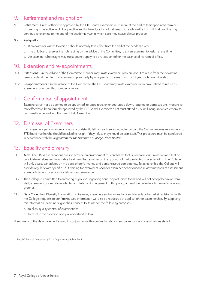## <span id="page-7-0"></span>9. Retirement and resignation

9.1 Retirement: Unless otherwise approved by the ETE Board, examiners must retire at the end of their appointed term or on ceasing to be active in clinical practice and in the education of trainees. Those who retire from clinical practice may continue to examine to the end of the academic year in which case they cease clinical practice.

#### 9.2 Resignation:

- a. If an examiner wishes to resign it should normally take effect from the end of the academic year.
- b. The ETE Board reserves the right, acting on the advice of the Committee, to ask an examiner to resign at any time.
- c. An examiner who resigns may subsequently apply to be re-appointed for the balance of his term of office.

#### 10. Extension and re-appointments

- 10.1 Extensions: On the advice of the Committee, Council may invite examiners who are about to retire from their examiner term to extend their term of examinership annually by one year to do a maximum of 12 years total examinership.
- 10.2 Re-appointments: On the advice of the Committee, the ETE Board may invite examiners who have retired to return as examiners for a specified number of years.

## 11. Confirmation of appointment

Examiners shall not be deemed to be appointed, re-appointed, extended, stood down, resigned or dismissed until motions to that effect have been formally approved by the ETE Board. Examiners elect must attend a Council inauguration ceremony to be formally accepted into the role of FRCA examiner.

#### 12. Dismissal of Examiners

If an examiner's performance or conduct consistently fails to reach an acceptable standard the Committee may recommend to ETE Board that he/she should be asked to resign. If they refuse they should be dismissed. This procedure must be conducted in accordance with the *Regulations for the Dismissal of College Office Holders*.

## 13. Equality and diversity

- 13.1 Aims: The FRCA examinations aims to provide an environment for candidates that is free from discrimination and that no candidate receives less favourable treatment than another on the grounds of their protected characteristics. The College will only assess candidates on the basis of performance and demonstrated competency. To achieve this, the College will provide regular exam specific E&D training for examiners. Monitor examiner behaviour and review methods of assessment, exam policies and practices for fairness and relevance.
- 13.2 The College is committed to enforcing its policy† regarding equal opportunities for all and will not accept behavior from staff, examiners or candidates which constitutes an infringement to this policy or results in unlawful discrimination on any grounds.
- 13.3 Data Collection: Diversity information on trainees, examiners and examination candidates is collected at registration with the College, requests to confirm/update information will also be requested at application for examinership. By supplying this information, examiners, give their consent to its use for the following purposes:
	- a. to allow quality control of examinations
	- b. to assist in the provision of equal opportunities to all

A summary of the data collected is used in conjunction with examination data in annual reports and examinations statistics.

<sup>†</sup> Royal College of Anaesthetist; Equal Opportunities Policy, 2014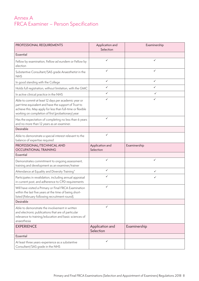## <span id="page-8-0"></span>Annex A FRCA Examiner – Person Specification

| PROFESSIONAL REQUIREMENTS                                                                                                                                                                                                          | Application and<br>Selection | Examinership |  |
|------------------------------------------------------------------------------------------------------------------------------------------------------------------------------------------------------------------------------------|------------------------------|--------------|--|
| Essential                                                                                                                                                                                                                          |                              |              |  |
| Fellow by examination, Fellow ad eundem or Fellow by<br>election                                                                                                                                                                   | ✓                            | ✓            |  |
| Substantive Consultant/SAS grade Anaesthetist in the<br><b>NHS</b>                                                                                                                                                                 | ✓                            | ✓            |  |
| In good standing with the College                                                                                                                                                                                                  | $\checkmark$                 | ✓            |  |
| Holds full registration, without limitation, with the GMC                                                                                                                                                                          | $\checkmark$                 | ✓            |  |
| In active clinical practice in the NHS                                                                                                                                                                                             | ✓                            | $\checkmark$ |  |
| Able to commit at least 12 days per academic year or<br>part time equivalent and have the support of Trust to<br>achieve this. May apply for less than full-time or flexible<br>working on completion of first (probationary) year | ✓                            | ✓            |  |
| Has the expectation of completing no less than 6 years<br>and no more than 12 years as an examiner.                                                                                                                                | ✓                            |              |  |
| Desirable                                                                                                                                                                                                                          |                              |              |  |
| Able to demonstrate a special interest relevant to the<br>balance of expertise required                                                                                                                                            | ✓                            |              |  |
| PROFESSIONAL/TECHNICAL AND<br><b>OCCUPATIONAL TRAINING</b>                                                                                                                                                                         | Application and<br>Selection | Examinership |  |
| Essential                                                                                                                                                                                                                          |                              |              |  |
| Demonstrates commitment to ongoing assessment,<br>training and development as an examiner/trainer                                                                                                                                  | ✓                            | ✓            |  |
| Attendance at Equality and Diversity Training*                                                                                                                                                                                     | ✓                            | ✓            |  |
| Participates in revalidation, including annual appraisal<br>in current post, and adherence to CPD requirements                                                                                                                     | ✓                            | ✓            |  |
| Will have visited a Primary or Final FRCA Examination<br>within the last five years at the time of being short-<br>listed (February following recruitment round).                                                                  | ✓                            |              |  |
| Desirable                                                                                                                                                                                                                          |                              |              |  |
| Able to demonstrate the involvement in written<br>and electronic publications that are of particular<br>relevance to training/education and basic sciences of<br>anaesthesia                                                       | ✓                            |              |  |
| <b>EXPERIENCE</b>                                                                                                                                                                                                                  | Application and<br>Selection | Examinership |  |
| Essential                                                                                                                                                                                                                          |                              |              |  |
| At least three years-experience as a substantive<br>Consultant/SAS grade in the NHS                                                                                                                                                | ✓                            |              |  |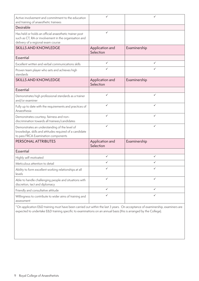| Active involvement and commitment to the education<br>and training of anaesthetic trainees                                                            |                              | ✓            |
|-------------------------------------------------------------------------------------------------------------------------------------------------------|------------------------------|--------------|
| Desirable                                                                                                                                             |                              |              |
| Has held or holds an official anaesthetic trainer post<br>such as CT, RA or involvement in the organisation and<br>delivery of a regional exam course | ✓                            |              |
| <b>SKILLS AND KNOWLEDGE</b>                                                                                                                           | Application and<br>Selection | Examinership |
| Essential                                                                                                                                             |                              |              |
| Excellent written and verbal communications skills                                                                                                    | ✓                            | $\checkmark$ |
| Proven team player who sets and achieves high<br>standards                                                                                            | ✓                            | ✓            |
| <b>SKILLS AND KNOWLEDGE</b>                                                                                                                           | Application and<br>Selection | Examinership |
| Essential                                                                                                                                             |                              |              |
| Demonstrates high professional standards as a trainer<br>and/or examiner                                                                              | ✓                            | ✓            |
| Fully up to date with the requirements and practices of<br>Anaesthesia                                                                                | $\checkmark$                 | $\checkmark$ |
| Demonstrates courtesy, fairness and non-<br>discrimination towards all trainees/candidates                                                            | ✓                            | ✓            |
| Demonstrates an understanding of the level of<br>knowledge, skills and attitudes required of a candidate<br>to pass FRCA Examination components       | ✓                            | ✓            |
| PERSONAL ATTRIBUTES                                                                                                                                   | Application and<br>Selection | Examinership |
| Essential                                                                                                                                             |                              |              |
| Highly self-motivated                                                                                                                                 | ✓                            | ✓            |
| Meticulous attention to detail                                                                                                                        | ✓                            | ✓            |
| Ability to form excellent working relationships at all<br>levels                                                                                      | ✓                            | ✓            |
| Able to handle challenging people and situations with<br>discretion, tact and diplomacy                                                               | ✓                            | ✓            |
| Friendly and consultative attitude                                                                                                                    | $\checkmark$                 | $\checkmark$ |
| Willingness to contribute to wider aims of training and<br>assessment                                                                                 | ✓                            | ✓            |

\*On application E&D training must have been carried out within the last 3 years. On acceptance of examinership, examiners are expected to undertake E&D training specific to examinations on an annual basis (this is arranged by the College).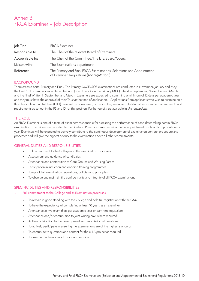## <span id="page-10-0"></span>Annex B FRCA Examiner – Job Description

| Job Title:      | <b>FRCA Examiner</b>                                                                                              |
|-----------------|-------------------------------------------------------------------------------------------------------------------|
| Responsible to: | The Chair of the relevant Board of Examiners                                                                      |
| Accountable to: | The Chair of the Committee/The ETE Board/Council                                                                  |
| Liaison with:   | The Examinations department                                                                                       |
| Reference:      | The Primary and Final FRCA Examinations (Selections and Appointment<br>of Examiner) Regulations (the regulations) |

#### **BACKGROUND**

There are two parts, Primary and Final. The Primary OSCE/SOE examinations are conducted in November, January and May, the Final SOE examinations in December and June. In addition the Primary MCQ is held in September, November and March and the Final Written in September and March. Examiners are expected to commit to a minimum of 12 days per academic year and they must have the approval of their Trust at the time of application. Applications from applicants who wish to examine on a flexible or a less than full time (LTFT) basis will be considered, providing they are able to fulfil all other examiner commitments and requirements as set out in the PS and JD for this position. Further details are available in *the regulations*.

#### THE ROLE

An FRCA Examiner is one of a team of examiners responsible for assessing the performance of candidates taking part in FRCA examinations. Examiners are recruited to the Final and Primary exam as required; initial appointment is subject to a probationary year. Examiners will be expected to actively contribute to the continuous development of examination content, procedure and processes and will give the highest priority to the examination above all other commitments.

#### GENERAL DUTIES AND RESPONSIBILITIES

- Full commitment to the College and the examination processes
- Assessment and guidance of candidates
- Attendance and contribution to Core Groups and Working Parties
- Participation in induction and ongoing training programmes
- To uphold all examination regulations, policies and principles
- To observe and maintain the confidentiality and integrity of all FRCA examinations

#### SPECIFIC DUTIES AND RESPONSIBILITIES

#### 1. Full commitment to the College and its Examination processes

- To remain in good standing with the College and hold full registration with the GMC
- To have the expectancy of completing at least 10 years as an examiner
- Attendance at two exam diets per academic year or part-time equivalent
- Attendance and/or contribution to joint writing days where required
- Active contribution to the development and submission of questions
- To actively participate in ensuring the examinations are of the highest standards
- To contribute to questions and content for the e-LA project as required
- To take part in the appraisal process as required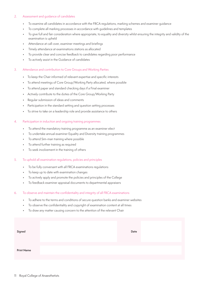#### 2. Assessment and guidance of candidates

- To examine all candidates in accordance with the FRCA regulations, marking schemes and examiner guidance
- To complete all marking processes in accordance with guidelines and templates
- To give full and fair consideration where appropriate, to equality and diversity whilst ensuring the integrity and validity of the examination is upheld
- Attendance at call-over, examiner meetings and briefings
- Timely attendance at examinations stations as allocated
- To provide clear and concise feedback to candidates regarding poor performance
- To actively assist in the Guidance of candidates

#### 3. Attendance and contribution to Core Groups and Working Parties

- To keep the Chair informed of relevant expertise and specific interests
- To attend meetings of Core Group/Working Party allocated, where possible
- To attend paper and standard checking days if a Final examiner
- Actively contribute to the duties of the Core Group/Working Party
- Regular submission of ideas and comments
- Participation in the standard setting and question setting processes
- To strive to take on a leadership role and provide assistance to others
- 4. Participation in induction and ongoing training programmes
	- To attend the mandatory training programme as an examiner elect
	- To undertake annual examiner Equality and Diversity training programmes
	- To attend Sim-man training where possible
	- To attend further training as required
	- To seek involvement in the training of others
- 5. To uphold all examination regulations, policies and principles
	- To be fully conversant with all FRCA examinations regulations
	- To keep up to date with examination changes
	- To actively apply and promote the policies and principles of the College
	- To feedback examiner appraisal documents to departmental appraisers

#### 6. To observe and maintain the confidentiality and integrity of all FRCA examinations

- To adhere to the terms and conditions of secure question banks and examiner websites
- To observe the confidentiality and copyright of examination content at all times
- To draw any matter causing concern to the attention of the relevant Chair

| Signed            | Date |  |
|-------------------|------|--|
| <b>Print Name</b> |      |  |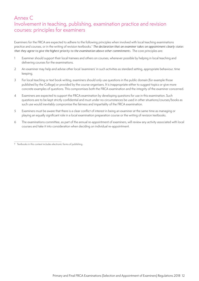## <span id="page-12-0"></span>Annex C Involvement in teaching, publishing, examination practice and revision courses: principles for examiners

Examiners for the FRCA are expected to adhere to the following principles when involved with local teaching examinations practice and courses, or in the writing of revision textbooks.<sup>†</sup> The declaration that an examiner takes on appointment clearly states *that they agree to give the highest priority to the examination above other commitments.* The core principles are:

- 1 Examiner should support their local trainees and others on courses, whenever possible by helping in local teaching and delivering courses for the examinations.
- 2 An examiner may help and advise other local 'examiners' in such activities as standard setting, appropriate behaviour, time keeping.
- 3 For local teaching or text book writing, examiners should only use questions in the public domain (for example those published by the College) or provided by the course organisers. It is inappropriate either to suggest topics or give more concrete examples of questions. This compromises both the FRCA examination and the integrity of the examiner concerned.
- 4 Examiners are expected to support the FRCA examination by developing questions for use in this examination. Such questions are to be kept strictly confidential and must under no circumstances be used in other situations/courses/books as such use would inevitably compromise the fairness and impartiality of the FRCA examination.
- 5 Examiners must be aware that there is a clear conflict of interest in being an examiner at the same time as managing or playing an equally significant role in a local examination preparation course or the writing of revision textbooks.
- 6 The examinations committee, as part of the annual re-appointment of examiners, will review any activity associated with local courses and take it into consideration when deciding on individual re-appointment.

<sup>†</sup> Textbooks in this context includes electronic forms of publishing.